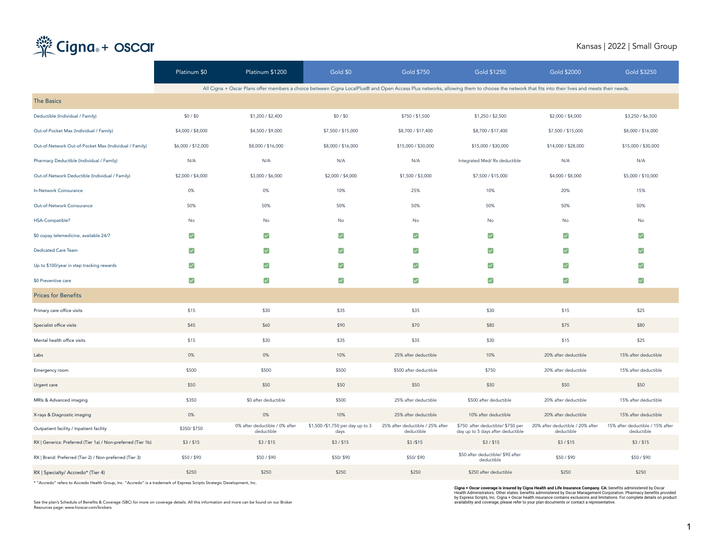# Cigna<sub>®</sub>+ oscar

### Kansas | 2022 | Small Group

|                                                              | Platinum \$0          | Platinum \$1200                                                                                                                                                                              | Gold \$0                                 | <b>Gold \$750</b>                              | <b>Gold \$1250</b>                                                     | <b>Gold \$2000</b>                             | <b>Gold \$3250</b>                             |
|--------------------------------------------------------------|-----------------------|----------------------------------------------------------------------------------------------------------------------------------------------------------------------------------------------|------------------------------------------|------------------------------------------------|------------------------------------------------------------------------|------------------------------------------------|------------------------------------------------|
|                                                              |                       | All Cigna + Oscar Plans offer members a choice between Cigna LocalPlus@ and Open Access Plus networks, allowing them to choose the network that fits into their lives and meets their needs. |                                          |                                                |                                                                        |                                                |                                                |
| <b>The Basics</b>                                            |                       |                                                                                                                                                                                              |                                          |                                                |                                                                        |                                                |                                                |
| Deductible (Individual / Family)                             | \$0/\$0               | \$1,200 / \$2,400                                                                                                                                                                            | \$0/\$0                                  | \$750 / \$1,500                                | \$1,250 / \$2,500                                                      | \$2,000 / \$4,000                              | \$3,250 / \$6,500                              |
| Out-of-Pocket Max (Individual / Family)                      | \$4,000 / \$8,000     | \$4,500 / \$9,000                                                                                                                                                                            | \$7,500 / \$15,000                       | \$8,700 / \$17,400                             | \$8,700 / \$17,400                                                     | \$7,500 / \$15,000                             | \$8,000 / \$16,000                             |
| Out-of-Network Out-of-Pocket Max (Individual / Family)       | \$6,000 / \$12,000    | \$8,000 / \$16,000                                                                                                                                                                           | \$8,000 / \$16,000                       | \$15,000 / \$30,000                            | \$15,000 / \$30,000                                                    | \$14,000 / \$28,000                            | \$15,000 / \$30,000                            |
| Pharmacy Deductible (Individual / Family)                    | N/A                   | N/A                                                                                                                                                                                          | N/A                                      | N/A                                            | Integrated Med/Rx deductible                                           | N/A                                            | N/A                                            |
| Out-of-Network Deductible (Individual / Family)              | \$2,000 / \$4,000     | \$3,000 / \$6,000                                                                                                                                                                            | \$2,000 / \$4,000                        | \$1,500 / \$3,000                              | \$7,500 / \$15,000                                                     | \$4,000 / \$8,000                              | \$5,000 / \$10,000                             |
| In-Network Coinsurance                                       | 0%                    | 0%                                                                                                                                                                                           | 10%                                      | 25%                                            | 10%                                                                    | 20%                                            | 15%                                            |
| Out-of-Network Coinsurance                                   | 50%                   | 50%                                                                                                                                                                                          | 50%                                      | 50%                                            | 50%                                                                    | 50%                                            | 50%                                            |
| HSA-Compatible?                                              | No                    | No                                                                                                                                                                                           | No                                       | No                                             | No                                                                     | No                                             | No                                             |
| \$0 copay telemedicine, available 24/7                       | $\blacktriangledown$  | $\blacktriangledown$                                                                                                                                                                         | $\blacktriangledown$                     | $\blacktriangledown$                           | $\blacktriangledown$                                                   | $\blacktriangledown$                           | $\blacktriangledown$                           |
| <b>Dedicated Care Team</b>                                   | $\blacktriangleright$ | $\blacktriangledown$                                                                                                                                                                         | $\blacktriangledown$                     | $\blacktriangledown$                           | $\blacktriangledown$                                                   | $\blacktriangledown$                           | $\blacktriangledown$                           |
| Up to \$100/year in step tracking rewards                    | $\blacktriangledown$  | $\blacktriangledown$                                                                                                                                                                         | $\blacktriangledown$                     | $\blacktriangledown$                           | ☑                                                                      | $\blacktriangledown$                           | $\blacktriangledown$                           |
| \$0 Preventive care                                          | $\blacktriangledown$  | $\blacktriangledown$                                                                                                                                                                         | $\blacktriangledown$                     | $\blacktriangledown$                           | ☑                                                                      | ▽                                              | $\blacktriangledown$                           |
| <b>Prices for Benefits</b>                                   |                       |                                                                                                                                                                                              |                                          |                                                |                                                                        |                                                |                                                |
| Primary care office visits                                   | \$15                  | \$30                                                                                                                                                                                         | \$35                                     | \$35                                           | \$30                                                                   | \$15                                           | \$25                                           |
| Specialist office visits                                     | \$45                  | \$60                                                                                                                                                                                         | \$90                                     | \$70                                           | \$80                                                                   | \$75                                           | \$80                                           |
| Mental health office visits                                  | \$15                  | \$30                                                                                                                                                                                         | \$35                                     | \$35                                           | \$30                                                                   | \$15                                           | \$25                                           |
| Labs                                                         | 0%                    | 0%                                                                                                                                                                                           | 10%                                      | 25% after deductible                           | 10%                                                                    | 20% after deductible                           | 15% after deductible                           |
| Emergency room                                               | \$500                 | \$500                                                                                                                                                                                        | \$500                                    | \$500 after deductible                         | \$750                                                                  | 20% after deductible                           | 15% after deductible                           |
| Urgent care                                                  | \$50                  | \$50                                                                                                                                                                                         | \$50                                     | \$50                                           | \$50                                                                   | \$50                                           | \$50                                           |
| MRIs & Advanced imaging                                      | \$350                 | \$0 after deductible                                                                                                                                                                         | \$500                                    | 25% after deductible                           | \$500 after deductible                                                 | 20% after deductible                           | 15% after deductible                           |
| X-rays & Diagnostic imaging                                  | 0%                    | $0\%$                                                                                                                                                                                        | 10%                                      | 25% after deductible                           | 10% after deductible                                                   | 20% after deductible                           | 15% after deductible                           |
| Outpatient facility / Inpatient facility                     | \$350/\$750           | 0% after deductible / 0% after<br>deductible                                                                                                                                                 | \$1,500 /\$1,750 per day up to 3<br>days | 25% after deductible / 25% after<br>deductible | \$750 after deductible/ \$750 per<br>day up to 5 days after deductible | 20% after deductible / 20% after<br>deductible | 15% after deductible / 15% after<br>deductible |
| RX   Generics: Preferred (Tier 1a) / Non-preferred (Tier 1b) | \$3 / \$15            | \$3 / \$15                                                                                                                                                                                   | \$3/\$15                                 | \$3/\$15                                       | \$3 / \$15                                                             | \$3 / \$15                                     | \$3 / \$15                                     |
| RX   Brand: Preferred (Tier 2) / Non-preferred (Tier 3)      | \$50/\$90             | \$50/\$90                                                                                                                                                                                    | \$50/\$90                                | \$50/\$90                                      | \$50 after deductible/ \$90 after<br>deductible                        | \$50/\$90                                      | \$50 / \$90                                    |
| RX   Specialty/ Accredo* (Tier 4)                            | \$250                 | \$250                                                                                                                                                                                        | \$250                                    | \$250                                          | \$250 after deductible                                                 | \$250                                          | \$250                                          |

\* "Accredo" refers to Accredo Health Group, Inc. "Accredo" is a trademark of Express Scripts Strategic Development, Inc.

See the plan's Schedule of Benefits & Coverage (SBC) for more on coverage details. All this information and more can be found on our Broker Resources page: www.hioscar.com/brokers

Cigna + Oscar coverage is insured by Cigna Health and Life Insurance Company. CA: benefits administered by Oscar<br>Health Administrators. Other states: benefits administered by Oscar Management Corporation. Pharmacy benefits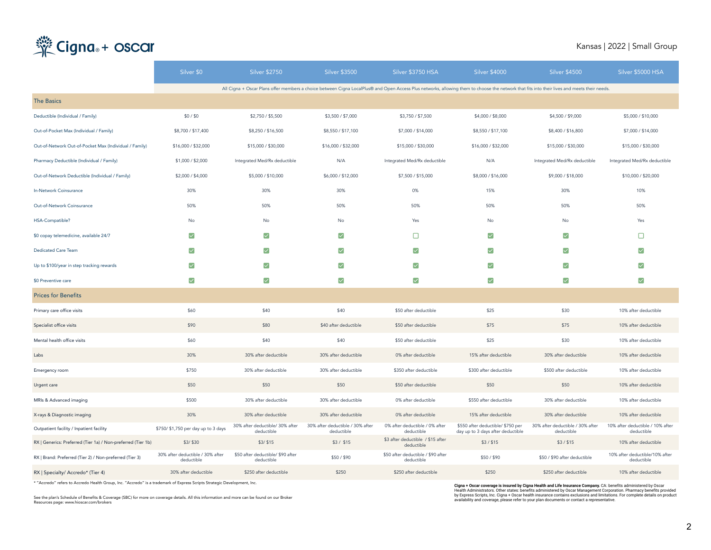# Cigna<sub>®</sub>+ oscar

#### Kansas | 2022 | Small Group

|                                                              | Silver \$0                                     | Silver \$2750                                   | <b>Silver \$3500</b>                                                                                                                                                                         | Silver \$3750 HSA                                | <b>Silver \$4000</b>                                                   | <b>Silver \$4500</b>                           | Silver \$5000 HSA                              |
|--------------------------------------------------------------|------------------------------------------------|-------------------------------------------------|----------------------------------------------------------------------------------------------------------------------------------------------------------------------------------------------|--------------------------------------------------|------------------------------------------------------------------------|------------------------------------------------|------------------------------------------------|
|                                                              |                                                |                                                 | All Cigna + Oscar Plans offer members a choice between Cigna LocalPlus® and Open Access Plus networks, allowing them to choose the network that fits into their lives and meets their needs. |                                                  |                                                                        |                                                |                                                |
| <b>The Basics</b>                                            |                                                |                                                 |                                                                                                                                                                                              |                                                  |                                                                        |                                                |                                                |
| Deductible (Individual / Family)                             | \$0/\$0                                        | \$2,750 / \$5,500                               | \$3,500 / \$7,000                                                                                                                                                                            | \$3,750 / \$7,500                                | \$4,000 / \$8,000                                                      | \$4,500 / \$9,000                              | \$5,000 / \$10,000                             |
| Out-of-Pocket Max (Individual / Family)                      | \$8,700 / \$17,400                             | \$8,250 / \$16,500                              | \$8,550 / \$17,100                                                                                                                                                                           | \$7,000 / \$14,000                               | \$8,550 / \$17,100                                                     | \$8,400 / \$16,800                             | \$7,000 / \$14,000                             |
| Out-of-Network Out-of-Pocket Max (Individual / Family)       | \$16,000 / \$32,000                            | \$15,000 / \$30,000                             | \$16,000 / \$32,000                                                                                                                                                                          | \$15,000 / \$30,000                              | \$16,000 / \$32,000                                                    | \$15,000 / \$30,000                            | \$15,000 / \$30,000                            |
| Pharmacy Deductible (Individual / Family)                    | \$1,000 / \$2,000                              | Integrated Med/Rx deductible                    | N/A                                                                                                                                                                                          | Integrated Med/Rx deductible                     | N/A                                                                    | Integrated Med/Rx deductible                   | Integrated Med/Rx deductible                   |
| Out-of-Network Deductible (Individual / Family)              | \$2,000 / \$4,000                              | \$5,000 / \$10,000                              | \$6,000 / \$12,000                                                                                                                                                                           | \$7,500 / \$15,000                               | \$8,000 / \$16,000                                                     | \$9,000 / \$18,000                             | \$10,000 / \$20,000                            |
| In-Network Coinsurance                                       | 30%                                            | 30%                                             | 30%                                                                                                                                                                                          | 0%                                               | 15%                                                                    | 30%                                            | 10%                                            |
| Out-of-Network Coinsurance                                   | 50%                                            | 50%                                             | 50%                                                                                                                                                                                          | 50%                                              | 50%                                                                    | 50%                                            | 50%                                            |
| HSA-Compatible?                                              | No                                             | No                                              | No                                                                                                                                                                                           | Yes                                              | No                                                                     | No                                             | Yes                                            |
| \$0 copay telemedicine, available 24/7                       | ☑                                              | ☑                                               | $\vert \mathbf{v} \vert$                                                                                                                                                                     | □                                                | ☑                                                                      | $\vert\mathcal{A}\vert$                        | □                                              |
| Dedicated Care Team                                          | $\blacktriangledown$                           | $\blacktriangledown$                            | ☑                                                                                                                                                                                            | $\blacktriangledown$                             | $\blacktriangledown$                                                   | $\blacktriangledown$                           | ☑                                              |
| Up to \$100/year in step tracking rewards                    | ☑                                              | $\blacktriangledown$                            | $\vert \vee \vert$                                                                                                                                                                           | ☑                                                | $\blacktriangledown$                                                   | $\vert \vee \vert$                             | ☑                                              |
| \$0 Preventive care                                          | $\blacktriangledown$                           | $\blacktriangleright$                           | $\blacktriangleright$                                                                                                                                                                        | ⊽                                                | $\blacktriangledown$                                                   | $\blacktriangleright$                          | ☑                                              |
| <b>Prices for Benefits</b>                                   |                                                |                                                 |                                                                                                                                                                                              |                                                  |                                                                        |                                                |                                                |
| Primary care office visits                                   | \$60                                           | \$40                                            | \$40                                                                                                                                                                                         | \$50 after deductible                            | \$25                                                                   | \$30                                           | 10% after deductible                           |
| Specialist office visits                                     | \$90                                           | \$80                                            | \$40 after deductible                                                                                                                                                                        | \$50 after deductible                            | \$75                                                                   | \$75                                           | 10% after deductible                           |
| Mental health office visits                                  | \$60                                           | \$40                                            | \$40                                                                                                                                                                                         | \$50 after deductible                            | \$25                                                                   | \$30                                           | 10% after deductible                           |
| Labs                                                         | 30%                                            | 30% after deductible                            | 30% after deductible                                                                                                                                                                         | 0% after deductible                              | 15% after deductible                                                   | 30% after deductible                           | 10% after deductible                           |
| Emergency room                                               | \$750                                          | 30% after deductible                            | 30% after deductible                                                                                                                                                                         | \$350 after deductible                           | \$300 after deductible                                                 | \$500 after deductible                         | 10% after deductible                           |
| Urgent care                                                  | \$50                                           | \$50                                            | \$50                                                                                                                                                                                         | \$50 after deductible                            | \$50                                                                   | \$50                                           | 10% after deductible                           |
| MRIs & Advanced imaging                                      | \$500                                          | 30% after deductible                            | 30% after deductible                                                                                                                                                                         | 0% after deductible                              | \$550 after deductible                                                 | 30% after deductible                           | 10% after deductible                           |
| X-rays & Diagnostic imaging                                  | 30%                                            | 30% after deductible                            | 30% after deductible                                                                                                                                                                         | 0% after deductible                              | 15% after deductible                                                   | 30% after deductible                           | 10% after deductible                           |
| Outpatient facility / Inpatient facility                     | \$750/ \$1,750 per day up to 3 days            | 30% after deductible/ 30% after<br>deductible   | 30% after deductible / 30% after<br>deductible                                                                                                                                               | 0% after deductible / 0% after<br>deductible     | \$550 after deductible/ \$750 per<br>day up to 3 days after deductible | 30% after deductible / 30% after<br>deductible | 10% after deductible / 10% after<br>deductible |
| RX   Generics: Preferred (Tier 1a) / Non-preferred (Tier 1b) | \$3/ \$30                                      | \$3/ \$15                                       | \$3/\$15                                                                                                                                                                                     | \$3 after deductible / \$15 after<br>deductible  | \$3/\$15                                                               | \$3 / \$15                                     | 10% after deductible                           |
| RX   Brand: Preferred (Tier 2) / Non-preferred (Tier 3)      | 30% after deductible / 30% after<br>deductible | \$50 after deductible/ \$90 after<br>deductible | \$50/\$90                                                                                                                                                                                    | \$50 after deductible / \$90 after<br>deductible | \$50/\$90                                                              | \$50 / \$90 after deductible                   | 10% after deductible/10% after<br>deductible   |
| RX   Specialty/ Accredo* (Tier 4)                            | 30% after deductible                           | \$250 after deductible                          | \$250                                                                                                                                                                                        | \$250 after deductible                           | \$250                                                                  | \$250 after deductible                         | 10% after deductible                           |

\* "Accredo" refers to Accredo Health Group, Inc. "Accredo" is a trademark of Express Scripts Strategic Development, Inc.

See the plan's Schedule of Benefits & Coverage (SBC) for more on coverage details. All this information and more can be found on our Broker Resources page: www.hioscar.com/brokers

Cigna + Oscar coverage is insured by Cigna Health and Life Insurance Company. CA: benefits administered by Oscar<br>Health Administrators. Other states: benefits administered by Oscar Management Corporation. Pharmacy benefits